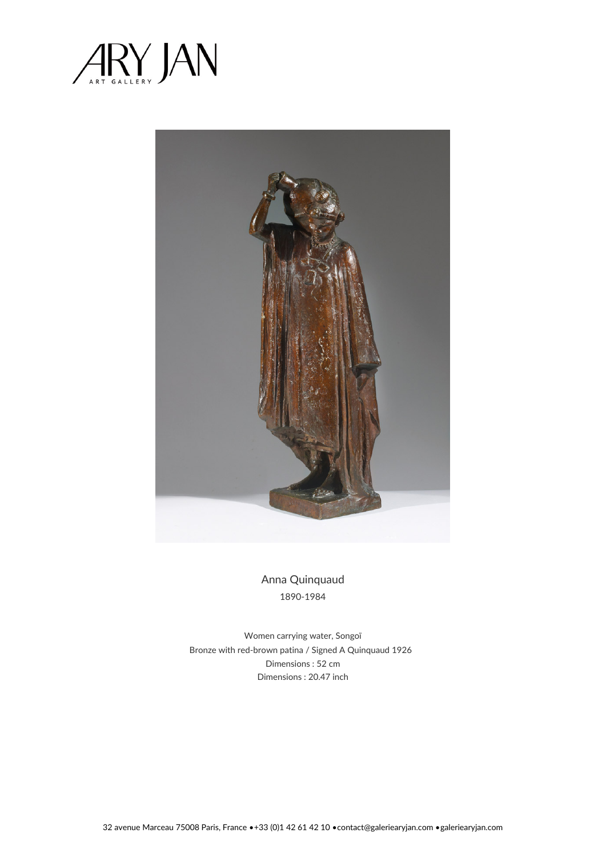



Anna Quinquaud 1890-1984

Women carrying water, Songoï Bronze with red-brown patina / Signed A Quinquaud 1926 Dimensions : 52 cm Dimensions : 20.47 inch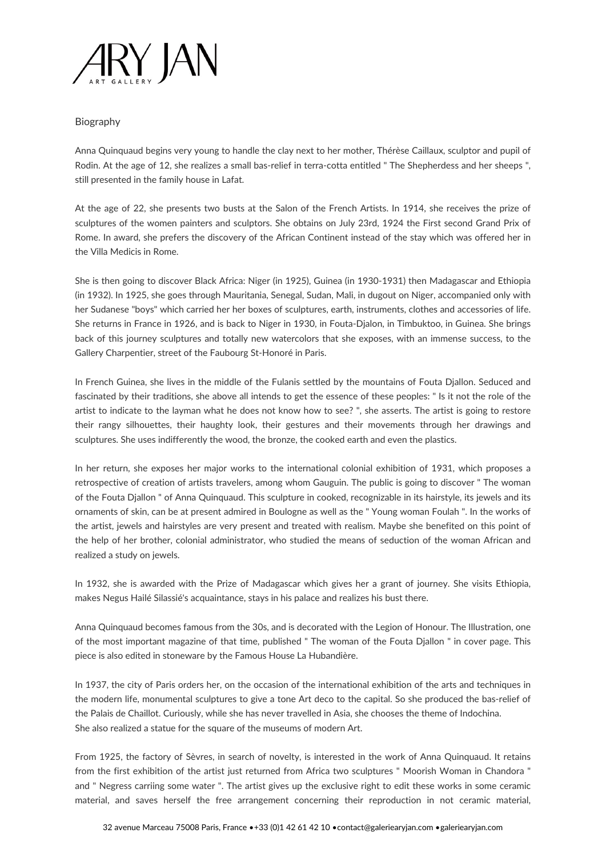

## Biography

Anna Quinquaud begins very young to handle the clay next to her mother, Thérèse Caillaux, sculptor and pupil of Rodin. At the age of 12, she realizes a small bas-relief in terra-cotta entitled " The Shepherdess and her sheeps ", still presented in the family house in Lafat.

At the age of 22, she presents two busts at the Salon of the French Artists. In 1914, she receives the prize of sculptures of the women painters and sculptors. She obtains on July 23rd, 1924 the First second Grand Prix of Rome. In award, she prefers the discovery of the African Continent instead of the stay which was offered her in the Villa Medicis in Rome.

She is then going to discover Black Africa: Niger (in 1925), Guinea (in 1930-1931) then Madagascar and Ethiopia (in 1932). In 1925, she goes through Mauritania, Senegal, Sudan, Mali, in dugout on Niger, accompanied only with her Sudanese "boys" which carried her her boxes of sculptures, earth, instruments, clothes and accessories of life. She returns in France in 1926, and is back to Niger in 1930, in Fouta-Djalon, in Timbuktoo, in Guinea. She brings back of this journey sculptures and totally new watercolors that she exposes, with an immense success, to the Gallery Charpentier, street of the Faubourg St-Honoré in Paris.

In French Guinea, she lives in the middle of the Fulanis settled by the mountains of Fouta Djallon. Seduced and fascinated by their traditions, she above all intends to get the essence of these peoples: " Is it not the role of the artist to indicate to the layman what he does not know how to see? ", she asserts. The artist is going to restore their rangy silhouettes, their haughty look, their gestures and their movements through her drawings and sculptures. She uses indifferently the wood, the bronze, the cooked earth and even the plastics.

In her return, she exposes her major works to the international colonial exhibition of 1931, which proposes a retrospective of creation of artists travelers, among whom Gauguin. The public is going to discover " The woman of the Fouta Djallon " of Anna Quinquaud. This sculpture in cooked, recognizable in its hairstyle, its jewels and its ornaments of skin, can be at present admired in Boulogne as well as the " Young woman Foulah ". In the works of the artist, jewels and hairstyles are very present and treated with realism. Maybe she benefited on this point of the help of her brother, colonial administrator, who studied the means of seduction of the woman African and realized a study on jewels.

In 1932, she is awarded with the Prize of Madagascar which gives her a grant of journey. She visits Ethiopia, makes Negus Hailé Silassié's acquaintance, stays in his palace and realizes his bust there.

Anna Quinquaud becomes famous from the 30s, and is decorated with the Legion of Honour. The Illustration, one of the most important magazine of that time, published " The woman of the Fouta Djallon " in cover page. This piece is also edited in stoneware by the Famous House La Hubandière.

In 1937, the city of Paris orders her, on the occasion of the international exhibition of the arts and techniques in the modern life, monumental sculptures to give a tone Art deco to the capital. So she produced the bas-relief of the Palais de Chaillot. Curiously, while she has never travelled in Asia, she chooses the theme of Indochina. She also realized a statue for the square of the museums of modern Art.

From 1925, the factory of Sèvres, in search of novelty, is interested in the work of Anna Quinquaud. It retains from the first exhibition of the artist just returned from Africa two sculptures " Moorish Woman in Chandora " and " Negress carriing some water ". The artist gives up the exclusive right to edit these works in some ceramic material, and saves herself the free arrangement concerning their reproduction in not ceramic material,